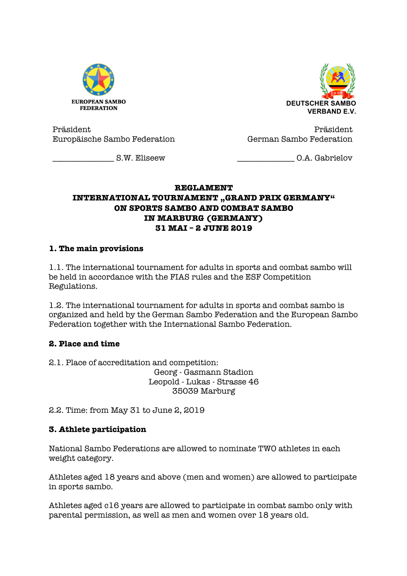



Präsident Europäische Sambo Federation

Präsident German Sambo Federation

\_\_\_\_\_\_\_\_\_\_\_\_\_\_\_ S.W. Eliseew

\_\_\_\_\_\_\_\_\_\_\_\_\_\_ O.A. Gabrielov

#### **REGLAMENT INTERNATIONAL TOURNAMENT** , GRAND PRIX GERMANY" **ON SPORTS SAMBO AND COMBAT SAMBO IN MARBURG (GERMANY) 31 MAI – 2 JUNE 2019**

### **1. The main provisions**

1.1. The international tournament for adults in sports and combat sambo will be held in accordance with the FIAS rules and the ESF Competition Regulations.

1.2. The international tournament for adults in sports and combat sambo is organized and held by the German Sambo Federation and the European Sambo Federation together with the International Sambo Federation.

## **2. Place and time**

2.1. Place of accreditation and competition: Georg - Gasmann Stadion Leopold - Lukas - Strasse 46 35039 Marburg

2.2. Time: from May 31 to June 2, 2019

#### **3. Athlete participation**

National Sambo Federations are allowed to nominate TWO athletes in each weight category.

Athletes aged 18 years and above (men and women) are allowed to participate in sports sambo.

Athletes aged c16 years are allowed to participate in combat sambo only with parental permission, as well as men and women over 18 years old.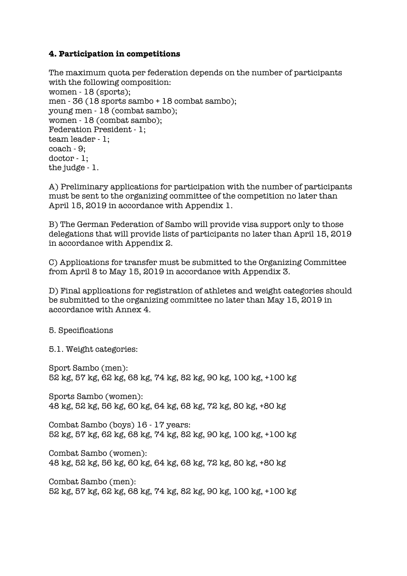#### **4. Participation in competitions**

```
The maximum quota per federation depends on the number of participants 
with the following composition:
women - 18 (sports);
men - 36 (18 sports sambo + 18 combat sambo);
young men - 18 (combat sambo);
women - 18 (combat sambo);
Federation President - 1;
team leader - 1;
coach - 9;
doctor - 1;
the judge - 1.
```
A) Preliminary applications for participation with the number of participants must be sent to the organizing committee of the competition no later than April 15, 2019 in accordance with Appendix 1.

B) The German Federation of Sambo will provide visa support only to those delegations that will provide lists of participants no later than April 15, 2019 in accordance with Appendix 2.

C) Applications for transfer must be submitted to the Organizing Committee from April 8 to May 15, 2019 in accordance with Appendix 3.

D) Final applications for registration of athletes and weight categories should be submitted to the organizing committee no later than May 15, 2019 in accordance with Annex 4.

5. Specifications

5.1. Weight categories:

Sport Sambo (men): 52 kg, 57 kg, 62 kg, 68 kg, 74 kg, 82 kg, 90 kg, 100 kg, +100 kg

Sports Sambo (women): 48 kg, 52 kg, 56 kg, 60 kg, 64 kg, 68 kg, 72 kg, 80 kg, +80 kg

Combat Sambo (boys) 16 - 17 years: 52 kg, 57 kg, 62 kg, 68 kg, 74 kg, 82 kg, 90 kg, 100 kg, +100 kg

Combat Sambo (women): 48 kg, 52 kg, 56 kg, 60 kg, 64 kg, 68 kg, 72 kg, 80 kg, +80 kg

Combat Sambo (men): 52 kg, 57 kg, 62 kg, 68 kg, 74 kg, 82 kg, 90 kg, 100 kg, +100 kg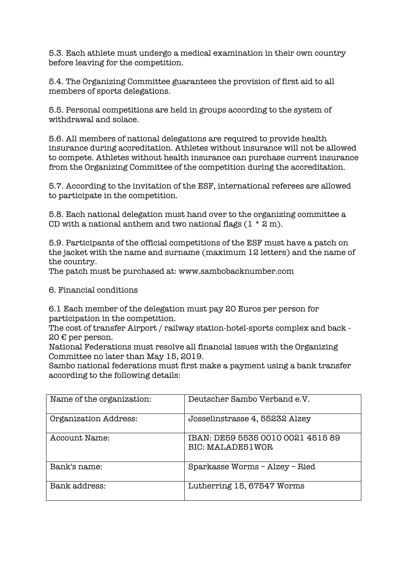5.3. Each athlete must undergo a medical examination in their own country before leaving for the competition.

5.4. The Organizing Committee guarantees the provision of first aid to all members of sports delegations.

5.5. Personal competitions are held in groups according to the system of withdrawal and solace.

5.6. All members of national delegations are required to provide health insurance during accreditation. Athletes without insurance will not be allowed to compete. Athletes without health insurance can purchase current insurance from the Organizing Committee of the competition during the accreditation.

5.7. According to the invitation of the ESF, international referees are allowed to participate in the competition.

5.8. Each national delegation must hand over to the organizing committee a CD with a national anthem and two national flags  $(1 * 2 m)$ .

5.9. Participants of the official competitions of the ESF must have a patch on the jacket with the name and surname (maximum 12 letters) and the name of the country.

The patch must be purchased at: www.sambobacknumber.com

6. Financial conditions

6.1 Each member of the delegation must pay 20 Euros per person for participation in the competition.

The cost of transfer Airport / railway station-hotel-sports complex and back - 20 € per person.

National Federations must resolve all financial issues with the Organizing Committee no later than May 15, 2019.

Sambo national federations must first make a payment using a bank transfer according to the following details:

| Name of the organization: | Deutscher Sambo Verband e.V.                                 |
|---------------------------|--------------------------------------------------------------|
| Organization Address:     | Josselinstrasse 4, 55232 Alzey                               |
| Account Name:             | IBAN: DE59 5535 0010 0021 4515 89<br><b>BIC: MALADE51WOR</b> |
| Bank's name:              | Sparkasse Worms - Alzey - Ried                               |
| Bank address:             | Lutherring 15, 67547 Worms                                   |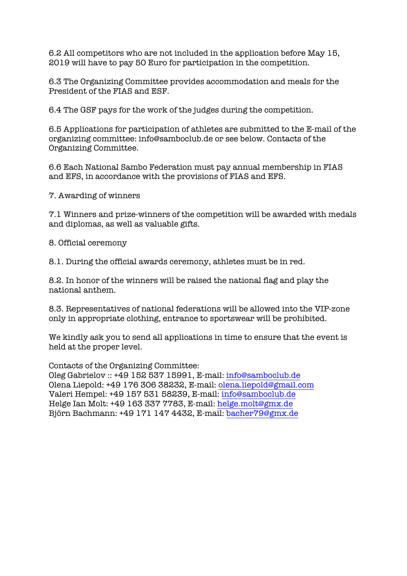6.2 All competitors who are not included in the application before May 15, 2019 will have to pay 50 Euro for participation in the competition.

6.3 The Organizing Committee provides accommodation and meals for the President of the FIAS and ESF.

6.4 The GSF pays for the work of the judges during the competition.

6.5 Applications for participation of athletes are submitted to the E-mail of the organizing committee: info@samboclub.de or see below. Contacts of the Organizing Committee.

6.6 Each National Sambo Federation must pay annual membership in FIAS and EFS, in accordance with the provisions of FIAS and EFS.

7. Awarding of winners

7.1 Winners and prize-winners of the competition will be awarded with medals and diplomas, as well as valuable gifts.

8. Official ceremony

8.1. During the official awards ceremony, athletes must be in red.

8.2. In honor of the winners will be raised the national flag and play the national anthem.

8.3. Representatives of national federations will be allowed into the VIP-zone only in appropriate clothing, entrance to sportswear will be prohibited.

We kindly ask you to send all applications in time to ensure that the event is held at the proper level.

Contacts of the Organizing Committee:

Oleg Gabrielov :: +49 152 537 15991, E-mail: info@samboclub.de Olena Liepold: +49 176 306 38232, E-mail: olena.liepold@gmail.com Valeri Hempel: +49 157 531 58239, E-mail: info@samboclub.de Helge Ian Molt: +49 163 337 7783, E-mail: helge.molt@gmx.de Björn Bachmann: +49 171 147 4432, E-mail: bacher79@gmx.de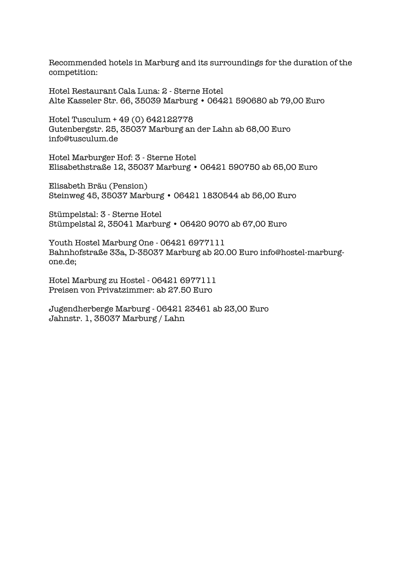Recommended hotels in Marburg and its surroundings for the duration of the competition:

Hotel Restaurant Cala Luna: 2 - Sterne Hotel Alte Kasseler Str. 66, 35039 Marburg • 06421 590680 ab 79,00 Euro

Hotel Tusculum + 49 (0) 642122778 Gutenbergstr. 25, 35037 Marburg an der Lahn ab 68,00 Euro info@tusculum.de

Hotel Marburger Hof: 3 - Sterne Hotel Elisabethstraße 12, 35037 Marburg • 06421 590750 ab 65,00 Euro

Elisabeth Bräu (Pension) Steinweg 45, 35037 Marburg • 06421 1830544 ab 56,00 Euro

Stümpelstal: 3 - Sterne Hotel Stümpelstal 2, 35041 Marburg • 06420 9070 ab 67,00 Euro

Youth Hostel Marburg One - 06421 6977111 Bahnhofstraße 33a, D-35037 Marburg ab 20.00 Euro info@hostel-marburgone.de;

Hotel Marburg zu Hostel - 06421 6977111 Preisen von Privatzimmer: ab 27.50 Euro

Jugendherberge Marburg - 06421 23461 ab 23,00 Euro Jahnstr. 1, 35037 Marburg / Lahn